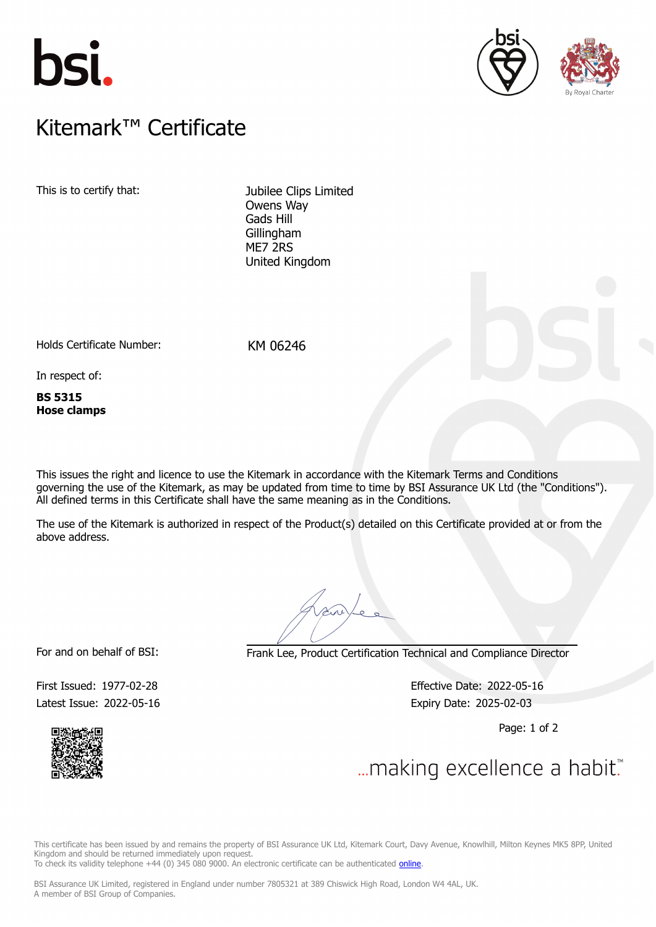





## $K$ itemark $W$  Certificate Kitemark™ Certificate

This is to certify that: Jubilee Clips Limited

Owens Way Gads Hill Gillingham ME7 2RS United Kingdom

Holds Certificate Number: KM 06246

In respect of:

**BS 5315 Hose clamps**

This issues the right and licence to use the Kitemark in accordance with the Kitemark Terms and Conditions governing the use of the Kitemark, as may be updated from time to time by BSI Assurance UK Ltd (the "Conditions"). All defined terms in this Certificate shall have the same meaning as in the Conditions.

The use of the Kitemark is authorized in respect of the Product(s) detailed on this Certificate provided at or from the above address.

For and on behalf of BSI: Frank Lee, Product Certification Technical and Compliance Director

Latest Issue: 2022-05-16 **Expiry Date: 2025-02-03** 

First Issued: 1977-02-28 Effective Date: 2022-05-16

Page: 1 of 2



... making excellence a habit."

This certificate has been issued by and remains the property of BSI Assurance UK Ltd, Kitemark Court, Davy Avenue, Knowlhill, Milton Keynes MK5 8PP, United Kingdom and should be returned immediately upon request. To check its validity telephone +44 (0) 345 080 9000. An electronic certificate can be authenticated *[online](https://pgplus.bsigroup.com/CertificateValidation/CertificateValidator.aspx?CertificateNumber=KM+06246&ReIssueDate=16%2f05%2f2022&Template=uk)*.

BSI Assurance UK Limited, registered in England under number 7805321 at 389 Chiswick High Road, London W4 4AL, UK.

A member of BSI Group of Companies.